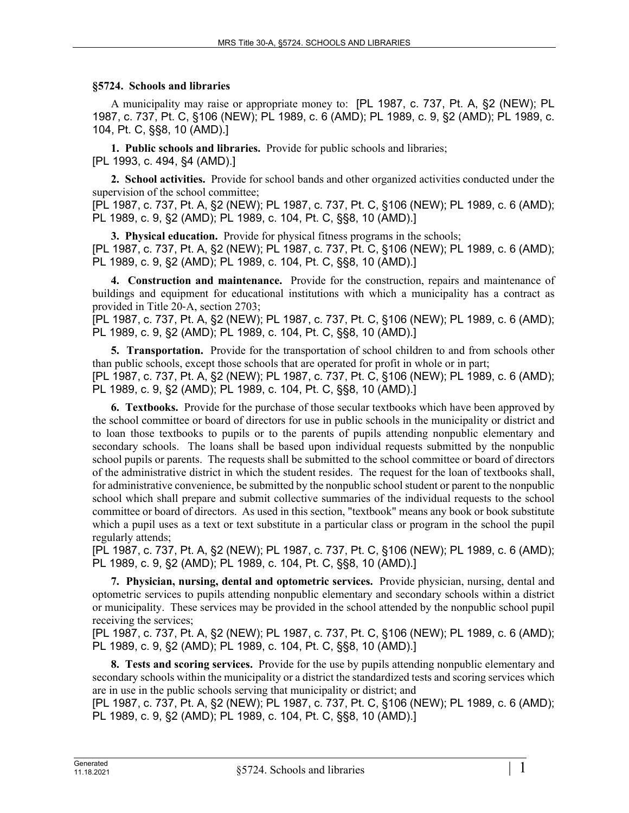## **§5724. Schools and libraries**

A municipality may raise or appropriate money to: [PL 1987, c. 737, Pt. A, §2 (NEW); PL 1987, c. 737, Pt. C, §106 (NEW); PL 1989, c. 6 (AMD); PL 1989, c. 9, §2 (AMD); PL 1989, c. 104, Pt. C, §§8, 10 (AMD).]

**1. Public schools and libraries.** Provide for public schools and libraries; [PL 1993, c. 494, §4 (AMD).]

**2. School activities.** Provide for school bands and other organized activities conducted under the supervision of the school committee;

[PL 1987, c. 737, Pt. A, §2 (NEW); PL 1987, c. 737, Pt. C, §106 (NEW); PL 1989, c. 6 (AMD); PL 1989, c. 9, §2 (AMD); PL 1989, c. 104, Pt. C, §§8, 10 (AMD).]

**3. Physical education.** Provide for physical fitness programs in the schools; [PL 1987, c. 737, Pt. A, §2 (NEW); PL 1987, c. 737, Pt. C, §106 (NEW); PL 1989, c. 6 (AMD); PL 1989, c. 9, §2 (AMD); PL 1989, c. 104, Pt. C, §§8, 10 (AMD).]

**4. Construction and maintenance.** Provide for the construction, repairs and maintenance of buildings and equipment for educational institutions with which a municipality has a contract as provided in Title 20‑A, section 2703;

[PL 1987, c. 737, Pt. A, §2 (NEW); PL 1987, c. 737, Pt. C, §106 (NEW); PL 1989, c. 6 (AMD); PL 1989, c. 9, §2 (AMD); PL 1989, c. 104, Pt. C, §§8, 10 (AMD).]

**5. Transportation.** Provide for the transportation of school children to and from schools other than public schools, except those schools that are operated for profit in whole or in part; [PL 1987, c. 737, Pt. A, §2 (NEW); PL 1987, c. 737, Pt. C, §106 (NEW); PL 1989, c. 6 (AMD); PL 1989, c. 9, §2 (AMD); PL 1989, c. 104, Pt. C, §§8, 10 (AMD).]

**6. Textbooks.** Provide for the purchase of those secular textbooks which have been approved by the school committee or board of directors for use in public schools in the municipality or district and to loan those textbooks to pupils or to the parents of pupils attending nonpublic elementary and secondary schools. The loans shall be based upon individual requests submitted by the nonpublic school pupils or parents. The requests shall be submitted to the school committee or board of directors of the administrative district in which the student resides. The request for the loan of textbooks shall, for administrative convenience, be submitted by the nonpublic school student or parent to the nonpublic school which shall prepare and submit collective summaries of the individual requests to the school committee or board of directors. As used in this section, "textbook" means any book or book substitute which a pupil uses as a text or text substitute in a particular class or program in the school the pupil regularly attends;

[PL 1987, c. 737, Pt. A, §2 (NEW); PL 1987, c. 737, Pt. C, §106 (NEW); PL 1989, c. 6 (AMD); PL 1989, c. 9, §2 (AMD); PL 1989, c. 104, Pt. C, §§8, 10 (AMD).]

**7. Physician, nursing, dental and optometric services.** Provide physician, nursing, dental and optometric services to pupils attending nonpublic elementary and secondary schools within a district or municipality. These services may be provided in the school attended by the nonpublic school pupil receiving the services;

[PL 1987, c. 737, Pt. A, §2 (NEW); PL 1987, c. 737, Pt. C, §106 (NEW); PL 1989, c. 6 (AMD); PL 1989, c. 9, §2 (AMD); PL 1989, c. 104, Pt. C, §§8, 10 (AMD).]

**8. Tests and scoring services.** Provide for the use by pupils attending nonpublic elementary and secondary schools within the municipality or a district the standardized tests and scoring services which are in use in the public schools serving that municipality or district; and

[PL 1987, c. 737, Pt. A, §2 (NEW); PL 1987, c. 737, Pt. C, §106 (NEW); PL 1989, c. 6 (AMD); PL 1989, c. 9, §2 (AMD); PL 1989, c. 104, Pt. C, §§8, 10 (AMD).]